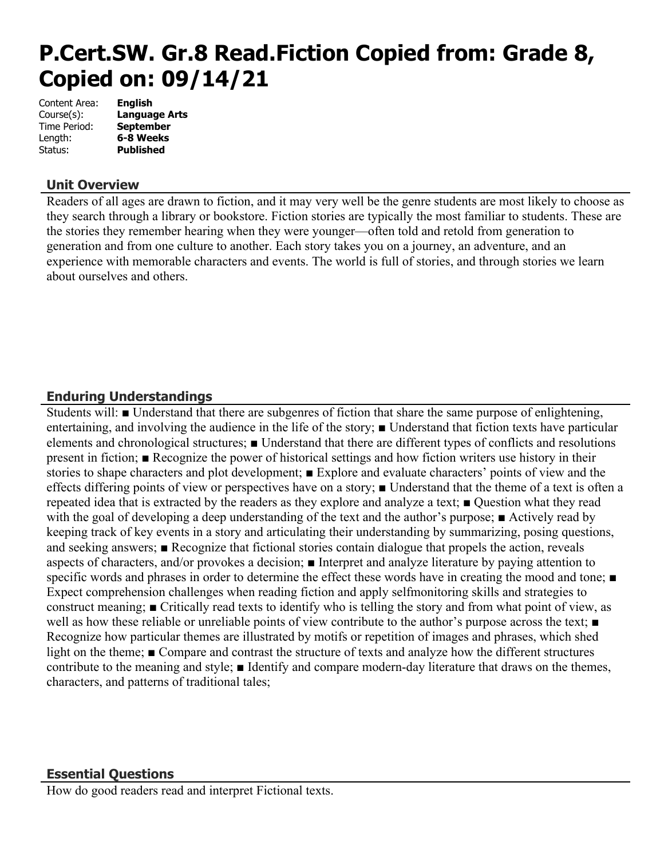# **P.Cert.SW. Gr.8 Read.Fiction Copied from: Grade 8, Copied on: 09/14/21**

| Content Area: | <b>English</b>       |
|---------------|----------------------|
| Course(s):    | <b>Language Arts</b> |
| Time Period:  | <b>September</b>     |
| Length:       | 6-8 Weeks            |
| Status:       | <b>Published</b>     |

## **Unit Overview**

Readers of all ages are drawn to fiction, and it may very well be the genre students are most likely to choose as they search through a library or bookstore. Fiction stories are typically the most familiar to students. These are the stories they remember hearing when they were younger—often told and retold from generation to generation and from one culture to another. Each story takes you on a journey, an adventure, and an experience with memorable characters and events. The world is full of stories, and through stories we learn about ourselves and others.

## **Enduring Understandings**

Students will: ■ Understand that there are subgenres of fiction that share the same purpose of enlightening, entertaining, and involving the audience in the life of the story; ■ Understand that fiction texts have particular elements and chronological structures; ■ Understand that there are different types of conflicts and resolutions present in fiction; ■ Recognize the power of historical settings and how fiction writers use history in their stories to shape characters and plot development; ■ Explore and evaluate characters' points of view and the effects differing points of view or perspectives have on a story; ■ Understand that the theme of a text is often a repeated idea that is extracted by the readers as they explore and analyze a text; ■ Question what they read with the goal of developing a deep understanding of the text and the author's purpose; ■ Actively read by keeping track of key events in a story and articulating their understanding by summarizing, posing questions, and seeking answers; ■ Recognize that fictional stories contain dialogue that propels the action, reveals aspects of characters, and/or provokes a decision; ■ Interpret and analyze literature by paying attention to specific words and phrases in order to determine the effect these words have in creating the mood and tone; ■ Expect comprehension challenges when reading fiction and apply selfmonitoring skills and strategies to construct meaning; ■ Critically read texts to identify who is telling the story and from what point of view, as well as how these reliable or unreliable points of view contribute to the author's purpose across the text; ■ Recognize how particular themes are illustrated by motifs or repetition of images and phrases, which shed light on the theme; ■ Compare and contrast the structure of texts and analyze how the different structures contribute to the meaning and style; ■ Identify and compare modern-day literature that draws on the themes, characters, and patterns of traditional tales;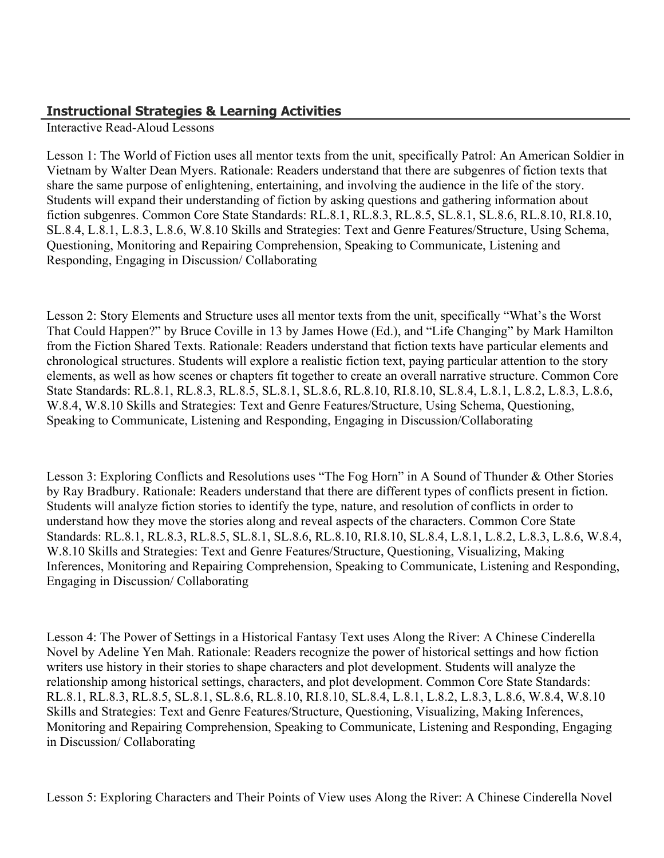## **Instructional Strategies & Learning Activities**

Interactive Read-Aloud Lessons

Lesson 1: The World of Fiction uses all mentor texts from the unit, specifically Patrol: An American Soldier in Vietnam by Walter Dean Myers. Rationale: Readers understand that there are subgenres of fiction texts that share the same purpose of enlightening, entertaining, and involving the audience in the life of the story. Students will expand their understanding of fiction by asking questions and gathering information about fiction subgenres. Common Core State Standards: RL.8.1, RL.8.3, RL.8.5, SL.8.1, SL.8.6, RL.8.10, RI.8.10, SL.8.4, L.8.1, L.8.3, L.8.6, W.8.10 Skills and Strategies: Text and Genre Features/Structure, Using Schema, Questioning, Monitoring and Repairing Comprehension, Speaking to Communicate, Listening and Responding, Engaging in Discussion/ Collaborating

Lesson 2: Story Elements and Structure uses all mentor texts from the unit, specifically "What's the Worst That Could Happen?" by Bruce Coville in 13 by James Howe (Ed.), and "Life Changing" by Mark Hamilton from the Fiction Shared Texts. Rationale: Readers understand that fiction texts have particular elements and chronological structures. Students will explore a realistic fiction text, paying particular attention to the story elements, as well as how scenes or chapters fit together to create an overall narrative structure. Common Core State Standards: RL.8.1, RL.8.3, RL.8.5, SL.8.1, SL.8.6, RL.8.10, RI.8.10, SL.8.4, L.8.1, L.8.2, L.8.3, L.8.6, W.8.4, W.8.10 Skills and Strategies: Text and Genre Features/Structure, Using Schema, Questioning, Speaking to Communicate, Listening and Responding, Engaging in Discussion/Collaborating

Lesson 3: Exploring Conflicts and Resolutions uses "The Fog Horn" in A Sound of Thunder & Other Stories by Ray Bradbury. Rationale: Readers understand that there are different types of conflicts present in fiction. Students will analyze fiction stories to identify the type, nature, and resolution of conflicts in order to understand how they move the stories along and reveal aspects of the characters. Common Core State Standards: RL.8.1, RL.8.3, RL.8.5, SL.8.1, SL.8.6, RL.8.10, RI.8.10, SL.8.4, L.8.1, L.8.2, L.8.3, L.8.6, W.8.4, W.8.10 Skills and Strategies: Text and Genre Features/Structure, Questioning, Visualizing, Making Inferences, Monitoring and Repairing Comprehension, Speaking to Communicate, Listening and Responding, Engaging in Discussion/ Collaborating

Lesson 4: The Power of Settings in a Historical Fantasy Text uses Along the River: A Chinese Cinderella Novel by Adeline Yen Mah. Rationale: Readers recognize the power of historical settings and how fiction writers use history in their stories to shape characters and plot development. Students will analyze the relationship among historical settings, characters, and plot development. Common Core State Standards: RL.8.1, RL.8.3, RL.8.5, SL.8.1, SL.8.6, RL.8.10, RI.8.10, SL.8.4, L.8.1, L.8.2, L.8.3, L.8.6, W.8.4, W.8.10 Skills and Strategies: Text and Genre Features/Structure, Questioning, Visualizing, Making Inferences, Monitoring and Repairing Comprehension, Speaking to Communicate, Listening and Responding, Engaging in Discussion/ Collaborating

Lesson 5: Exploring Characters and Their Points of View uses Along the River: A Chinese Cinderella Novel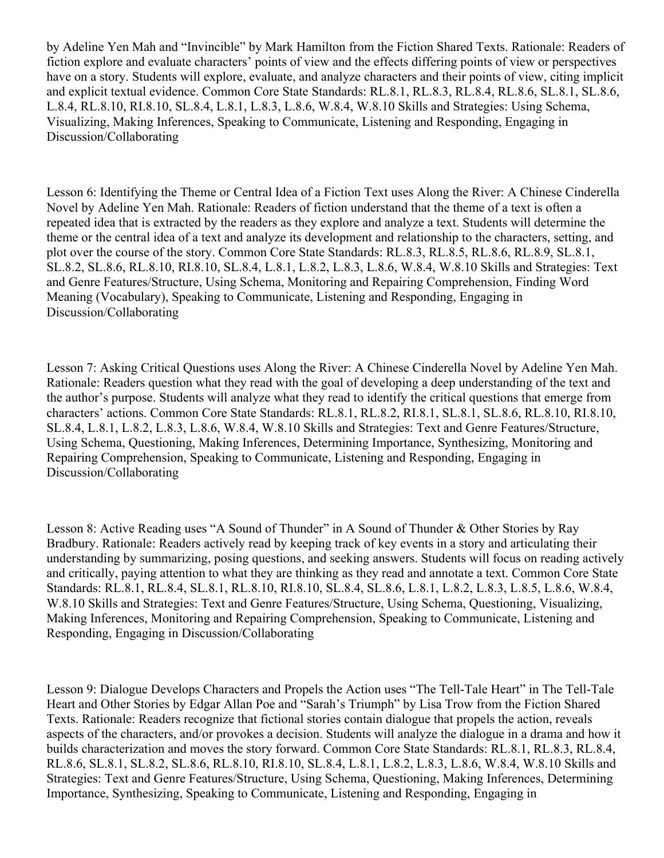by Adeline Yen Mah and "Invincible" by Mark Hamilton from the Fiction Shared Texts. Rationale: Readers of fiction explore and evaluate characters' points of view and the effects differing points of view or perspectives have on a story. Students will explore, evaluate, and analyze characters and their points of view, citing implicit and explicit textual evidence. Common Core State Standards: RL.8.1, RL.8.3, RL.8.4, RL.8.6, SL.8.1, SL.8.6, L.8.4, RL.8.10, RI.8.10, SL.8.4, L.8.1, L.8.3, L.8.6, W.8.4, W.8.10 Skills and Strategies: Using Schema, Visualizing, Making Inferences, Speaking to Communicate, Listening and Responding, Engaging in Discussion/Collaborating

Lesson 6: Identifying the Theme or Central Idea of a Fiction Text uses Along the River: A Chinese Cinderella Novel by Adeline Yen Mah. Rationale: Readers of fiction understand that the theme of a text is often a repeated idea that is extracted by the readers as they explore and analyze a text. Students will determine the theme or the central idea of a text and analyze its development and relationship to the characters, setting, and plot over the course of the story. Common Core State Standards: RL.8.3, RL.8.5, RL.8.6, RL.8.9, SL.8.1, SL.8.2, SL.8.6, RL.8.10, RI.8.10, SL.8.4, L.8.1, L.8.2, L.8.3, L.8.6, W.8.4, W.8.10 Skills and Strategies: Text and Genre Features/Structure, Using Schema, Monitoring and Repairing Comprehension, Finding Word Meaning (Vocabulary), Speaking to Communicate, Listening and Responding, Engaging in Discussion/Collaborating

Lesson 7: Asking Critical Questions uses Along the River: A Chinese Cinderella Novel by Adeline Yen Mah. Rationale: Readers question what they read with the goal of developing a deep understanding of the text and the author's purpose. Students will analyze what they read to identify the critical questions that emerge from characters' actions. Common Core State Standards: RL.8.1, RL.8.2, RI.8.1, SL.8.1, SL.8.6, RL.8.10, RI.8.10, SL.8.4, L.8.1, L.8.2, L.8.3, L.8.6, W.8.4, W.8.10 Skills and Strategies: Text and Genre Features/Structure, Using Schema, Questioning, Making Inferences, Determining Importance, Synthesizing, Monitoring and Repairing Comprehension, Speaking to Communicate, Listening and Responding, Engaging in Discussion/Collaborating

Lesson 8: Active Reading uses "A Sound of Thunder" in A Sound of Thunder & Other Stories by Ray Bradbury. Rationale: Readers actively read by keeping track of key events in a story and articulating their understanding by summarizing, posing questions, and seeking answers. Students will focus on reading actively and critically, paying attention to what they are thinking as they read and annotate a text. Common Core State Standards: RL.8.1, RL.8.4, SL.8.1, RL.8.10, RI.8.10, SL.8.4, SL.8.6, L.8.1, L.8.2, L.8.3, L.8.5, L.8.6, W.8.4, W.8.10 Skills and Strategies: Text and Genre Features/Structure, Using Schema, Questioning, Visualizing, Making Inferences, Monitoring and Repairing Comprehension, Speaking to Communicate, Listening and Responding, Engaging in Discussion/Collaborating

Lesson 9: Dialogue Develops Characters and Propels the Action uses "The Tell-Tale Heart" in The Tell-Tale Heart and Other Stories by Edgar Allan Poe and "Sarah's Triumph" by Lisa Trow from the Fiction Shared Texts. Rationale: Readers recognize that fictional stories contain dialogue that propels the action, reveals aspects of the characters, and/or provokes a decision. Students will analyze the dialogue in a drama and how it builds characterization and moves the story forward. Common Core State Standards: RL.8.1, RL.8.3, RL.8.4, RL.8.6, SL.8.1, SL.8.2, SL.8.6, RL.8.10, RI.8.10, SL.8.4, L.8.1, L.8.2, L.8.3, L.8.6, W.8.4, W.8.10 Skills and Strategies: Text and Genre Features/Structure, Using Schema, Questioning, Making Inferences, Determining Importance, Synthesizing, Speaking to Communicate, Listening and Responding, Engaging in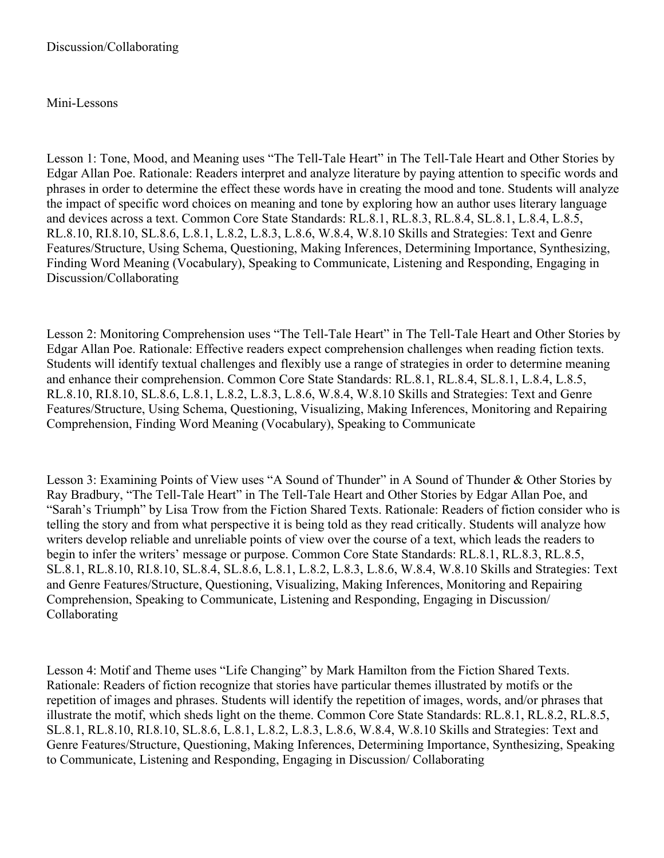#### Mini-Lessons

Lesson 1: Tone, Mood, and Meaning uses "The Tell-Tale Heart" in The Tell-Tale Heart and Other Stories by Edgar Allan Poe. Rationale: Readers interpret and analyze literature by paying attention to specific words and phrases in order to determine the effect these words have in creating the mood and tone. Students will analyze the impact of specific word choices on meaning and tone by exploring how an author uses literary language and devices across a text. Common Core State Standards: RL.8.1, RL.8.3, RL.8.4, SL.8.1, L.8.4, L.8.5, RL.8.10, RI.8.10, SL.8.6, L.8.1, L.8.2, L.8.3, L.8.6, W.8.4, W.8.10 Skills and Strategies: Text and Genre Features/Structure, Using Schema, Questioning, Making Inferences, Determining Importance, Synthesizing, Finding Word Meaning (Vocabulary), Speaking to Communicate, Listening and Responding, Engaging in Discussion/Collaborating

Lesson 2: Monitoring Comprehension uses "The Tell-Tale Heart" in The Tell-Tale Heart and Other Stories by Edgar Allan Poe. Rationale: Effective readers expect comprehension challenges when reading fiction texts. Students will identify textual challenges and flexibly use a range of strategies in order to determine meaning and enhance their comprehension. Common Core State Standards: RL.8.1, RL.8.4, SL.8.1, L.8.4, L.8.5, RL.8.10, RI.8.10, SL.8.6, L.8.1, L.8.2, L.8.3, L.8.6, W.8.4, W.8.10 Skills and Strategies: Text and Genre Features/Structure, Using Schema, Questioning, Visualizing, Making Inferences, Monitoring and Repairing Comprehension, Finding Word Meaning (Vocabulary), Speaking to Communicate

Lesson 3: Examining Points of View uses "A Sound of Thunder" in A Sound of Thunder & Other Stories by Ray Bradbury, "The Tell-Tale Heart" in The Tell-Tale Heart and Other Stories by Edgar Allan Poe, and "Sarah's Triumph" by Lisa Trow from the Fiction Shared Texts. Rationale: Readers of fiction consider who is telling the story and from what perspective it is being told as they read critically. Students will analyze how writers develop reliable and unreliable points of view over the course of a text, which leads the readers to begin to infer the writers' message or purpose. Common Core State Standards: RL.8.1, RL.8.3, RL.8.5, SL.8.1, RL.8.10, RI.8.10, SL.8.4, SL.8.6, L.8.1, L.8.2, L.8.3, L.8.6, W.8.4, W.8.10 Skills and Strategies: Text and Genre Features/Structure, Questioning, Visualizing, Making Inferences, Monitoring and Repairing Comprehension, Speaking to Communicate, Listening and Responding, Engaging in Discussion/ Collaborating

Lesson 4: Motif and Theme uses "Life Changing" by Mark Hamilton from the Fiction Shared Texts. Rationale: Readers of fiction recognize that stories have particular themes illustrated by motifs or the repetition of images and phrases. Students will identify the repetition of images, words, and/or phrases that illustrate the motif, which sheds light on the theme. Common Core State Standards: RL.8.1, RL.8.2, RL.8.5, SL.8.1, RL.8.10, RI.8.10, SL.8.6, L.8.1, L.8.2, L.8.3, L.8.6, W.8.4, W.8.10 Skills and Strategies: Text and Genre Features/Structure, Questioning, Making Inferences, Determining Importance, Synthesizing, Speaking to Communicate, Listening and Responding, Engaging in Discussion/ Collaborating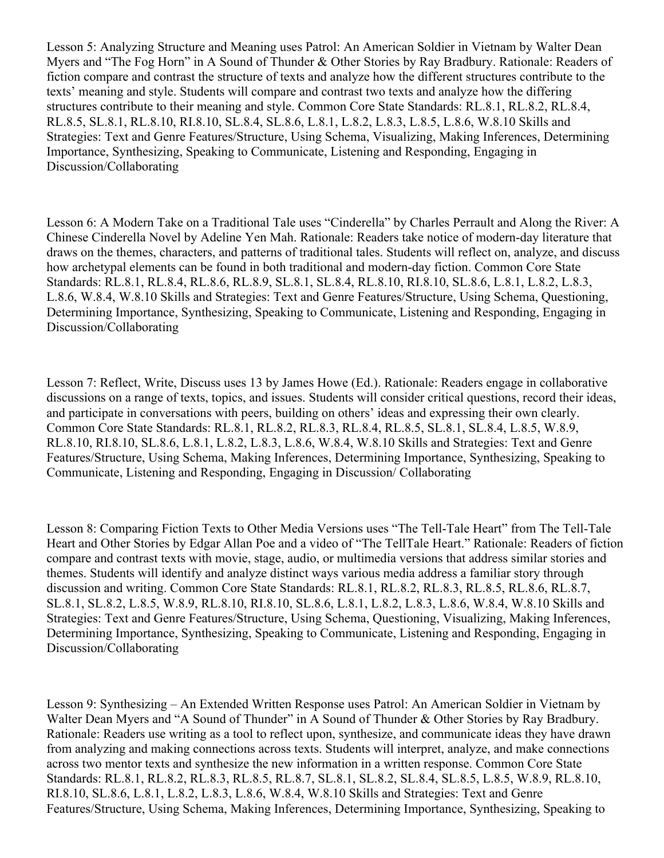Lesson 5: Analyzing Structure and Meaning uses Patrol: An American Soldier in Vietnam by Walter Dean Myers and "The Fog Horn" in A Sound of Thunder & Other Stories by Ray Bradbury. Rationale: Readers of fiction compare and contrast the structure of texts and analyze how the different structures contribute to the texts' meaning and style. Students will compare and contrast two texts and analyze how the differing structures contribute to their meaning and style. Common Core State Standards: RL.8.1, RL.8.2, RL.8.4, RL.8.5, SL.8.1, RL.8.10, RI.8.10, SL.8.4, SL.8.6, L.8.1, L.8.2, L.8.3, L.8.5, L.8.6, W.8.10 Skills and Strategies: Text and Genre Features/Structure, Using Schema, Visualizing, Making Inferences, Determining Importance, Synthesizing, Speaking to Communicate, Listening and Responding, Engaging in Discussion/Collaborating

Lesson 6: A Modern Take on a Traditional Tale uses "Cinderella" by Charles Perrault and Along the River: A Chinese Cinderella Novel by Adeline Yen Mah. Rationale: Readers take notice of modern-day literature that draws on the themes, characters, and patterns of traditional tales. Students will reflect on, analyze, and discuss how archetypal elements can be found in both traditional and modern-day fiction. Common Core State Standards: RL.8.1, RL.8.4, RL.8.6, RL.8.9, SL.8.1, SL.8.4, RL.8.10, RI.8.10, SL.8.6, L.8.1, L.8.2, L.8.3, L.8.6, W.8.4, W.8.10 Skills and Strategies: Text and Genre Features/Structure, Using Schema, Questioning, Determining Importance, Synthesizing, Speaking to Communicate, Listening and Responding, Engaging in Discussion/Collaborating

Lesson 7: Reflect, Write, Discuss uses 13 by James Howe (Ed.). Rationale: Readers engage in collaborative discussions on a range of texts, topics, and issues. Students will consider critical questions, record their ideas, and participate in conversations with peers, building on others' ideas and expressing their own clearly. Common Core State Standards: RL.8.1, RL.8.2, RL.8.3, RL.8.4, RL.8.5, SL.8.1, SL.8.4, L.8.5, W.8.9, RL.8.10, RI.8.10, SL.8.6, L.8.1, L.8.2, L.8.3, L.8.6, W.8.4, W.8.10 Skills and Strategies: Text and Genre Features/Structure, Using Schema, Making Inferences, Determining Importance, Synthesizing, Speaking to Communicate, Listening and Responding, Engaging in Discussion/ Collaborating

Lesson 8: Comparing Fiction Texts to Other Media Versions uses "The Tell-Tale Heart" from The Tell-Tale Heart and Other Stories by Edgar Allan Poe and a video of "The TellTale Heart." Rationale: Readers of fiction compare and contrast texts with movie, stage, audio, or multimedia versions that address similar stories and themes. Students will identify and analyze distinct ways various media address a familiar story through discussion and writing. Common Core State Standards: RL.8.1, RL.8.2, RL.8.3, RL.8.5, RL.8.6, RL.8.7, SL.8.1, SL.8.2, L.8.5, W.8.9, RL.8.10, RI.8.10, SL.8.6, L.8.1, L.8.2, L.8.3, L.8.6, W.8.4, W.8.10 Skills and Strategies: Text and Genre Features/Structure, Using Schema, Questioning, Visualizing, Making Inferences, Determining Importance, Synthesizing, Speaking to Communicate, Listening and Responding, Engaging in Discussion/Collaborating

Lesson 9: Synthesizing – An Extended Written Response uses Patrol: An American Soldier in Vietnam by Walter Dean Myers and "A Sound of Thunder" in A Sound of Thunder & Other Stories by Ray Bradbury. Rationale: Readers use writing as a tool to reflect upon, synthesize, and communicate ideas they have drawn from analyzing and making connections across texts. Students will interpret, analyze, and make connections across two mentor texts and synthesize the new information in a written response. Common Core State Standards: RL.8.1, RL.8.2, RL.8.3, RL.8.5, RL.8.7, SL.8.1, SL.8.2, SL.8.4, SL.8.5, L.8.5, W.8.9, RL.8.10, RI.8.10, SL.8.6, L.8.1, L.8.2, L.8.3, L.8.6, W.8.4, W.8.10 Skills and Strategies: Text and Genre Features/Structure, Using Schema, Making Inferences, Determining Importance, Synthesizing, Speaking to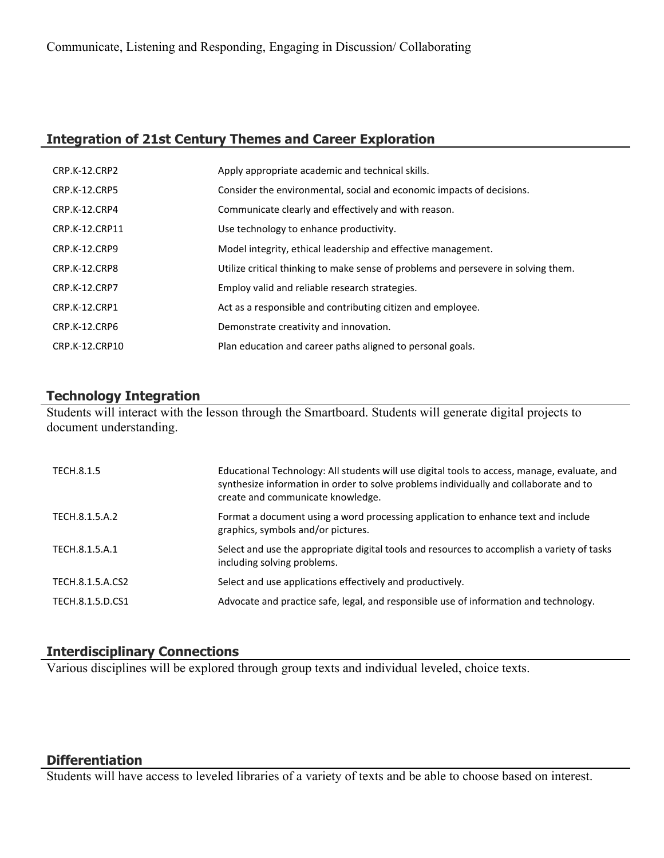# **Integration of 21st Century Themes and Career Exploration**

| CRP.K-12.CRP2        | Apply appropriate academic and technical skills.                                   |
|----------------------|------------------------------------------------------------------------------------|
| <b>CRP.K-12.CRP5</b> | Consider the environmental, social and economic impacts of decisions.              |
| CRP.K-12.CRP4        | Communicate clearly and effectively and with reason.                               |
| CRP.K-12.CRP11       | Use technology to enhance productivity.                                            |
| CRP.K-12.CRP9        | Model integrity, ethical leadership and effective management.                      |
| CRP.K-12.CRP8        | Utilize critical thinking to make sense of problems and persevere in solving them. |
| <b>CRP.K-12.CRP7</b> | Employ valid and reliable research strategies.                                     |
| CRP.K-12.CRP1        | Act as a responsible and contributing citizen and employee.                        |
| CRP.K-12.CRP6        | Demonstrate creativity and innovation.                                             |
| CRP.K-12.CRP10       | Plan education and career paths aligned to personal goals.                         |

## **Technology Integration**

Students will interact with the lesson through the Smartboard. Students will generate digital projects to document understanding.

| TECH.8.1.5       | Educational Technology: All students will use digital tools to access, manage, evaluate, and<br>synthesize information in order to solve problems individually and collaborate and to<br>create and communicate knowledge. |
|------------------|----------------------------------------------------------------------------------------------------------------------------------------------------------------------------------------------------------------------------|
| TECH.8.1.5.A.2   | Format a document using a word processing application to enhance text and include<br>graphics, symbols and/or pictures.                                                                                                    |
| TECH.8.1.5.A.1   | Select and use the appropriate digital tools and resources to accomplish a variety of tasks<br>including solving problems.                                                                                                 |
| TECH.8.1.5.A.CS2 | Select and use applications effectively and productively.                                                                                                                                                                  |
| TECH.8.1.5.D.CS1 | Advocate and practice safe, legal, and responsible use of information and technology.                                                                                                                                      |

## **Interdisciplinary Connections**

Various disciplines will be explored through group texts and individual leveled, choice texts.

#### **Differentiation**

Students will have access to leveled libraries of a variety of texts and be able to choose based on interest.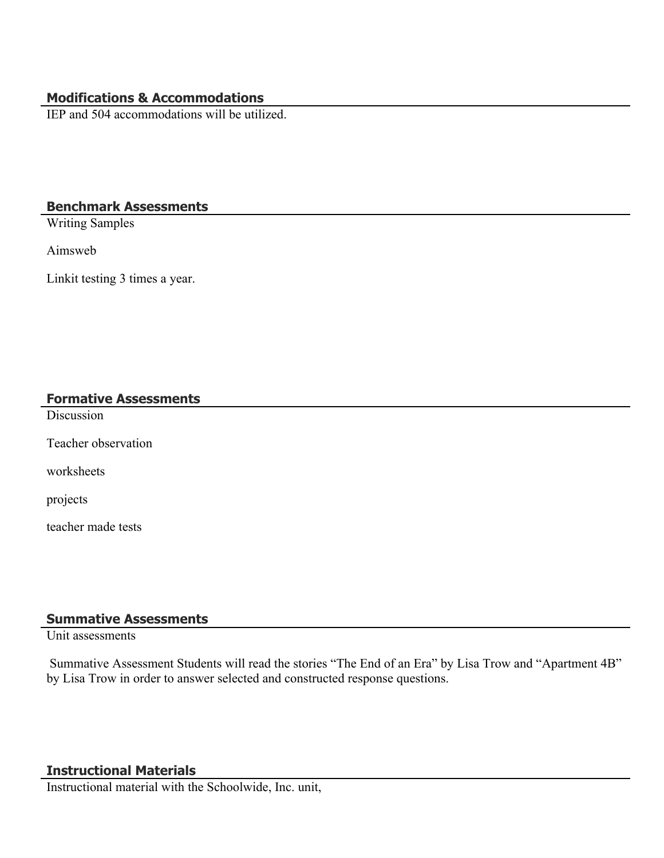## **Modifications & Accommodations**

IEP and 504 accommodations will be utilized.

### **Benchmark Assessments**

Writing Samples

Aimsweb

Linkit testing 3 times a year.

#### **Formative Assessments**

**Discussion** 

Teacher observation

worksheets

projects

teacher made tests

# **Summative Assessments**

Unit assessments

 Summative Assessment Students will read the stories "The End of an Era" by Lisa Trow and "Apartment 4B" by Lisa Trow in order to answer selected and constructed response questions.

#### **Instructional Materials**

Instructional material with the Schoolwide, Inc. unit,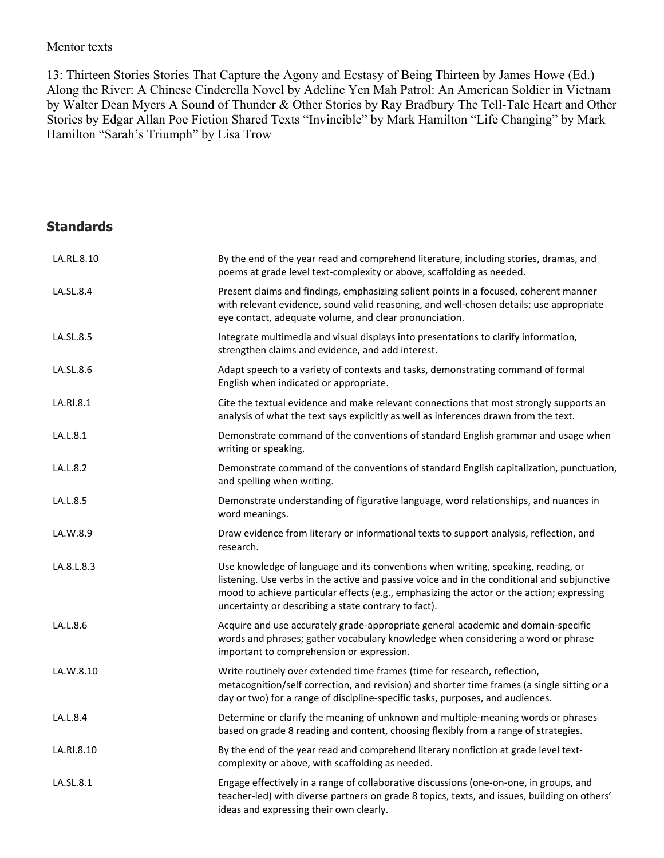#### Mentor texts

13: Thirteen Stories Stories That Capture the Agony and Ecstasy of Being Thirteen by James Howe (Ed.) Along the River: A Chinese Cinderella Novel by Adeline Yen Mah Patrol: An American Soldier in Vietnam by Walter Dean Myers A Sound of Thunder & Other Stories by Ray Bradbury The Tell-Tale Heart and Other Stories by Edgar Allan Poe Fiction Shared Texts "Invincible" by Mark Hamilton "Life Changing" by Mark Hamilton "Sarah's Triumph" by Lisa Trow

| <b>Standards</b> |                                                                                                                                                                                                                                                                                                                                       |
|------------------|---------------------------------------------------------------------------------------------------------------------------------------------------------------------------------------------------------------------------------------------------------------------------------------------------------------------------------------|
| LA.RL.8.10       | By the end of the year read and comprehend literature, including stories, dramas, and<br>poems at grade level text-complexity or above, scaffolding as needed.                                                                                                                                                                        |
| LA.SL.8.4        | Present claims and findings, emphasizing salient points in a focused, coherent manner<br>with relevant evidence, sound valid reasoning, and well-chosen details; use appropriate<br>eye contact, adequate volume, and clear pronunciation.                                                                                            |
| LA.SL.8.5        | Integrate multimedia and visual displays into presentations to clarify information,<br>strengthen claims and evidence, and add interest.                                                                                                                                                                                              |
| LA.SL.8.6        | Adapt speech to a variety of contexts and tasks, demonstrating command of formal<br>English when indicated or appropriate.                                                                                                                                                                                                            |
| LA.RI.8.1        | Cite the textual evidence and make relevant connections that most strongly supports an<br>analysis of what the text says explicitly as well as inferences drawn from the text.                                                                                                                                                        |
| LA.L.8.1         | Demonstrate command of the conventions of standard English grammar and usage when<br>writing or speaking.                                                                                                                                                                                                                             |
| LA.L.8.2         | Demonstrate command of the conventions of standard English capitalization, punctuation,<br>and spelling when writing.                                                                                                                                                                                                                 |
| LA.L.8.5         | Demonstrate understanding of figurative language, word relationships, and nuances in<br>word meanings.                                                                                                                                                                                                                                |
| LA.W.8.9         | Draw evidence from literary or informational texts to support analysis, reflection, and<br>research.                                                                                                                                                                                                                                  |
| LA.8.L.8.3       | Use knowledge of language and its conventions when writing, speaking, reading, or<br>listening. Use verbs in the active and passive voice and in the conditional and subjunctive<br>mood to achieve particular effects (e.g., emphasizing the actor or the action; expressing<br>uncertainty or describing a state contrary to fact). |
| LA.L.8.6         | Acquire and use accurately grade-appropriate general academic and domain-specific<br>words and phrases; gather vocabulary knowledge when considering a word or phrase<br>important to comprehension or expression.                                                                                                                    |
| LA.W.8.10        | Write routinely over extended time frames (time for research, reflection,<br>metacognition/self correction, and revision) and shorter time frames (a single sitting or a<br>day or two) for a range of discipline-specific tasks, purposes, and audiences.                                                                            |
| LA.L.8.4         | Determine or clarify the meaning of unknown and multiple-meaning words or phrases<br>based on grade 8 reading and content, choosing flexibly from a range of strategies.                                                                                                                                                              |
| LA.RI.8.10       | By the end of the year read and comprehend literary nonfiction at grade level text-<br>complexity or above, with scaffolding as needed.                                                                                                                                                                                               |
| LA.SL.8.1        | Engage effectively in a range of collaborative discussions (one-on-one, in groups, and<br>teacher-led) with diverse partners on grade 8 topics, texts, and issues, building on others'<br>ideas and expressing their own clearly.                                                                                                     |